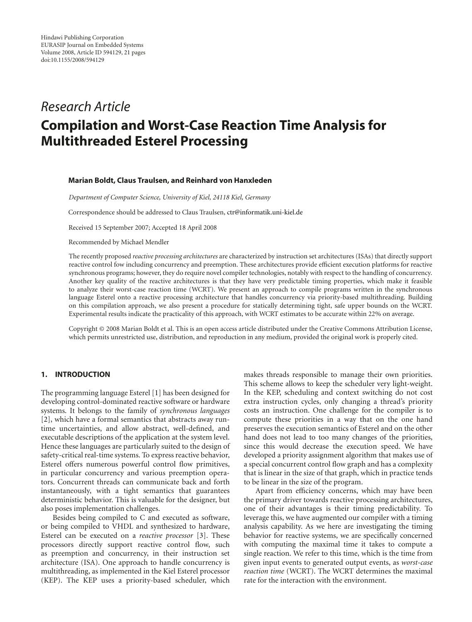## *Research Article*

# **Compilation and Worst-Case Reaction Time Analysis for Multithreaded Esterel Processing**

## **Marian Boldt, Claus Traulsen, and Reinhard von Hanxleden**

*Department of Computer Science, University of Kiel, 24118 Kiel, Germany*

Correspondence should be addressed to Claus Traulsen, ctr@informatik.uni-kiel.de

Received 15 September 2007; Accepted 18 April 2008

Recommended by Michael Mendler

The recently proposed *reactive processing architectures* are characterized by instruction set architectures (ISAs) that directly support reactive control fow including concurrency and preemption. These architectures provide efficient execution platforms for reactive synchronous programs; however, they do require novel compiler technologies, notably with respect to the handling of concurrency. Another key quality of the reactive architectures is that they have very predictable timing properties, which make it feasible to analyze their worst-case reaction time (WCRT). We present an approach to compile programs written in the synchronous language Esterel onto a reactive processing architecture that handles concurrency via priority-based multithreading. Building on this compilation approach, we also present a procedure for statically determining tight, safe upper bounds on the WCRT. Experimental results indicate the practicality of this approach, with WCRT estimates to be accurate within 22% on average.

Copyright © 2008 Marian Boldt et al. This is an open access article distributed under the Creative Commons Attribution License, which permits unrestricted use, distribution, and reproduction in any medium, provided the original work is properly cited.

## **1. INTRODUCTION**

The programming language Esterel [1] has been designed for developing control-dominated reactive software or hardware systems. It belongs to the family of *synchronous languages* [2], which have a formal semantics that abstracts away runtime uncertainties, and allow abstract, well-defined, and executable descriptions of the application at the system level. Hence these languages are particularly suited to the design of safety-critical real-time systems. To express reactive behavior, Esterel offers numerous powerful control flow primitives, in particular concurrency and various preemption operators. Concurrent threads can communicate back and forth instantaneously, with a tight semantics that guarantees deterministic behavior. This is valuable for the designer, but also poses implementation challenges.

Besides being compiled to C and executed as software, or being compiled to VHDL and synthesized to hardware, Esterel can be executed on a *reactive processor* [3]. These processors directly support reactive control flow, such as preemption and concurrency, in their instruction set architecture (ISA). One approach to handle concurrency is multithreading, as implemented in the Kiel Esterel processor (KEP). The KEP uses a priority-based scheduler, which

makes threads responsible to manage their own priorities. This scheme allows to keep the scheduler very light-weight. In the KEP, scheduling and context switching do not cost extra instruction cycles, only changing a thread's priority costs an instruction. One challenge for the compiler is to compute these priorities in a way that on the one hand preserves the execution semantics of Esterel and on the other hand does not lead to too many changes of the priorities, since this would decrease the execution speed. We have developed a priority assignment algorithm that makes use of a special concurrent control flow graph and has a complexity that is linear in the size of that graph, which in practice tends to be linear in the size of the program.

Apart from efficiency concerns, which may have been the primary driver towards reactive processing architectures, one of their advantages is their timing predictability. To leverage this, we have augmented our compiler with a timing analysis capability. As we here are investigating the timing behavior for reactive systems, we are specifically concerned with computing the maximal time it takes to compute a single reaction. We refer to this time, which is the time from given input events to generated output events, as *worst-case reaction time* (WCRT). The WCRT determines the maximal rate for the interaction with the environment.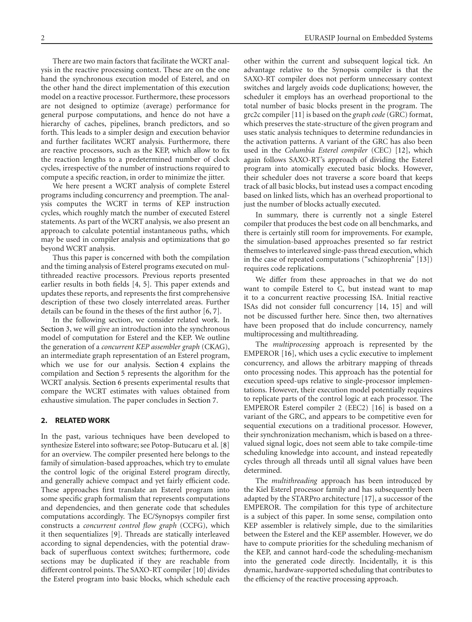There are two main factors that facilitate the WCRT analysis in the reactive processing context. These are on the one hand the synchronous execution model of Esterel, and on the other hand the direct implementation of this execution model on a reactive processor. Furthermore, these processors are not designed to optimize (average) performance for general purpose computations, and hence do not have a hierarchy of caches, pipelines, branch predictors, and so forth. This leads to a simpler design and execution behavior and further facilitates WCRT analysis. Furthermore, there are reactive processors, such as the KEP, which allow to fix the reaction lengths to a predetermined number of clock cycles, irrespective of the number of instructions required to compute a specific reaction, in order to minimize the jitter.

We here present a WCRT analysis of complete Esterel programs including concurrency and preemption. The analysis computes the WCRT in terms of KEP instruction cycles, which roughly match the number of executed Esterel statements. As part of the WCRT analysis, we also present an approach to calculate potential instantaneous paths, which may be used in compiler analysis and optimizations that go beyond WCRT analysis.

Thus this paper is concerned with both the compilation and the timing analysis of Esterel programs executed on multithreaded reactive processors. Previous reports presented earlier results in both fields [4, 5]. This paper extends and updates these reports, and represents the first comprehensive description of these two closely interrelated areas. Further details can be found in the theses of the first author [6, 7].

In the following section, we consider related work. In Section 3, we will give an introduction into the synchronous model of computation for Esterel and the KEP. We outline the generation of a *concurrent KEP assembler graph* (CKAG), an intermediate graph representation of an Esterel program, which we use for our analysis. Section 4 explains the compilation and Section 5 represents the algorithm for the WCRT analysis. Section 6 presents experimental results that compare the WCRT estimates with values obtained from exhaustive simulation. The paper concludes in Section 7.

#### **2. RELATED WORK**

In the past, various techniques have been developed to synthesize Esterel into software; see Potop-Butucaru et al. [8] for an overview. The compiler presented here belongs to the family of simulation-based approaches, which try to emulate the control logic of the original Esterel program directly, and generally achieve compact and yet fairly efficient code. These approaches first translate an Esterel program into some specific graph formalism that represents computations and dependencies, and then generate code that schedules computations accordingly. The EC/Synopsys compiler first constructs a *concurrent control flow graph* (CCFG), which it then sequentializes [9]. Threads are statically interleaved according to signal dependencies, with the potential drawback of superfluous context switches; furthermore, code sections may be duplicated if they are reachable from different control points. The SAXO-RT compiler [10] divides the Esterel program into basic blocks, which schedule each

other within the current and subsequent logical tick. An advantage relative to the Synopsis compiler is that the SAXO-RT compiler does not perform unnecessary context switches and largely avoids code duplications; however, the scheduler it employs has an overhead proportional to the total number of basic blocks present in the program. The grc2c compiler [11] is based on the *graph code*(GRC) format, which preserves the state-structure of the given program and uses static analysis techniques to determine redundancies in the activation patterns. A variant of the GRC has also been used in the *Columbia Esterel compiler* (CEC) [12], which again follows SAXO-RT's approach of dividing the Esterel program into atomically executed basic blocks. However, their scheduler does not traverse a score board that keeps track of all basic blocks, but instead uses a compact encoding based on linked lists, which has an overhead proportional to just the number of blocks actually executed.

In summary, there is currently not a single Esterel compiler that produces the best code on all benchmarks, and there is certainly still room for improvements. For example, the simulation-based approaches presented so far restrict themselves to interleaved single-pass thread execution, which in the case of repeated computations ("schizophrenia" [13]) requires code replications.

We differ from these approaches in that we do not want to compile Esterel to C, but instead want to map it to a concurrent reactive processing ISA. Initial reactive ISAs did not consider full concurrency [14, 15] and will not be discussed further here. Since then, two alternatives have been proposed that do include concurrency, namely multiprocessing and multithreading.

The *multiprocessing* approach is represented by the EMPEROR [16], which uses a cyclic executive to implement concurrency, and allows the arbitrary mapping of threads onto processing nodes. This approach has the potential for execution speed-ups relative to single-processor implementations. However, their execution model potentially requires to replicate parts of the control logic at each processor. The EMPEROR Esterel compiler 2 (EEC2) [16] is based on a variant of the GRC, and appears to be competitive even for sequential executions on a traditional processor. However, their synchronization mechanism, which is based on a threevalued signal logic, does not seem able to take compile-time scheduling knowledge into account, and instead repeatedly cycles through all threads until all signal values have been determined.

The *multithreading* approach has been introduced by the Kiel Esterel processor family and has subsequently been adapted by the STARPro architecture [17], a successor of the EMPEROR. The compilation for this type of architecture is a subject of this paper. In some sense, compilation onto KEP assembler is relatively simple, due to the similarities between the Esterel and the KEP assembler. However, we do have to compute priorities for the scheduling mechanism of the KEP, and cannot hard-code the scheduling-mechanism into the generated code directly. Incidentally, it is this dynamic, hardware-supported scheduling that contributes to the efficiency of the reactive processing approach.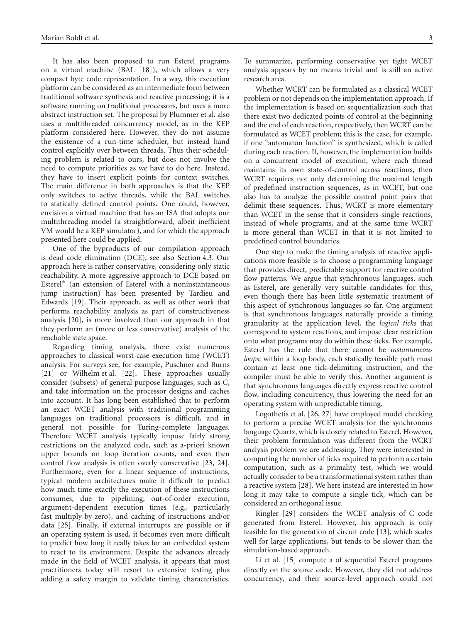It has also been proposed to run Esterel programs on a virtual machine (BAL [18]), which allows a very compact byte code representation. In a way, this execution platform can be considered as an intermediate form between traditional software synthesis and reactive processing; it is a software running on traditional processors, but uses a more abstract instruction set. The proposal by Plummer et al. also uses a multithreaded concurrency model, as in the KEP platform considered here. However, they do not assume the existence of a run-time scheduler, but instead hand control explicitly over between threads. Thus their scheduling problem is related to ours, but does not involve the need to compute priorities as we have to do here. Instead, they have to insert explicit points for context switches. The main difference in both approaches is that the KEP only switches to active threads, while the BAL switches to statically defined control points. One could, however, envision a virtual machine that has an ISA that adopts our multithreading model (a straightforward, albeit inefficient VM would be a KEP simulator), and for which the approach presented here could be applied.

One of the byproducts of our compilation approach is dead code elimination (DCE), see also Section 4.3. Our approach here is rather conservative, considering only static reachability. A more aggressive approach to DCE based on Esterel<sup>∗</sup> (an extension of Esterel with a noninstantaneous jump instruction) has been presented by Tardieu and Edwards [19]. Their approach, as well as other work that performs reachability analysis as part of constructiveness analysis [20], is more involved than our approach in that they perform an (more or less conservative) analysis of the reachable state space.

Regarding timing analysis, there exist numerous approaches to classical worst-case execution time (WCET) analysis. For surveys see, for example, Puschner and Burns [21] or Wilhelm et al. [22]. These approaches usually consider (subsets) of general purpose languages, such as C, and take information on the processor designs and caches into account. It has long been established that to perform an exact WCET analysis with traditional programming languages on traditional processors is difficult, and in general not possible for Turing-complete languages. Therefore WCET analysis typically impose fairly strong restrictions on the analyzed code, such as a-priori known upper bounds on loop iteration counts, and even then control flow analysis is often overly conservative [23, 24]. Furthermore, even for a linear sequence of instructions, typical modern architectures make it difficult to predict how much time exactly the execution of these instructions consumes, due to pipelining, out-of-order execution, argument-dependent execution times (e.g., particularly fast multiply-by-zero), and caching of instructions and/or data [25]. Finally, if external interrupts are possible or if an operating system is used, it becomes even more difficult to predict how long it really takes for an embedded system to react to its environment. Despite the advances already made in the field of WCET analysis, it appears that most practitioners today still resort to extensive testing plus adding a safety margin to validate timing characteristics.

To summarize, performing conservative yet tight WCET analysis appears by no means trivial and is still an active research area.

Whether WCRT can be formulated as a classical WCET problem or not depends on the implementation approach. If the implementation is based on sequentialization such that there exist two dedicated points of control at the beginning and the end of each reaction, respectively, then WCRT can be formulated as WCET problem; this is the case, for example, if one "automaton function" is synthesized, which is called during each reaction. If, however, the implementation builds on a concurrent model of execution, where each thread maintains its own state-of-control across reactions, then WCRT requires not only determining the maximal length of predefined instruction sequences, as in WCET, but one also has to analyze the possible control point pairs that delimit these sequences. Thus, WCRT is more elementary than WCET in the sense that it considers single reactions, instead of whole programs, and at the same time WCRT is more general than WCET in that it is not limited to predefined control boundaries.

One step to make the timing analysis of reactive applications more feasible is to choose a programming language that provides direct, predictable support for reactive control flow patterns. We argue that synchronous languages, such as Esterel, are generally very suitable candidates for this, even though there has been little systematic treatment of this aspect of synchronous languages so far. One argument is that synchronous languages naturally provide a timing granularity at the application level, the *logical ticks* that correspond to system reactions, and impose clear restriction onto what programs may do within these ticks. For example, Esterel has the rule that there cannot be *instantaneous loops*: within a loop body, each statically feasible path must contain at least one tick-delimiting instruction, and the compiler must be able to verify this. Another argument is that synchronous languages directly express reactive control flow, including concurrency, thus lowering the need for an operating system with unpredictable timing.

Logothetis et al. [26, 27] have employed model checking to perform a precise WCET analysis for the synchronous language Quartz, which is closely related to Esterel. However, their problem formulation was different from the WCRT analysis problem we are addressing. They were interested in computing the number of ticks required to perform a certain computation, such as a primality test, which we would actually consider to be a transformational system rather than a reactive system [28]. We here instead are interested in how long it may take to compute a single tick, which can be considered an orthogonal issue.

Ringler [29] considers the WCET analysis of C code generated from Esterel. However, his approach is only feasible for the generation of circuit code [13], which scales well for large applications, but tends to be slower than the simulation-based approach.

Li et al. [15] compute a of sequential Esterel programs directly on the source code. However, they did not address concurrency, and their source-level approach could not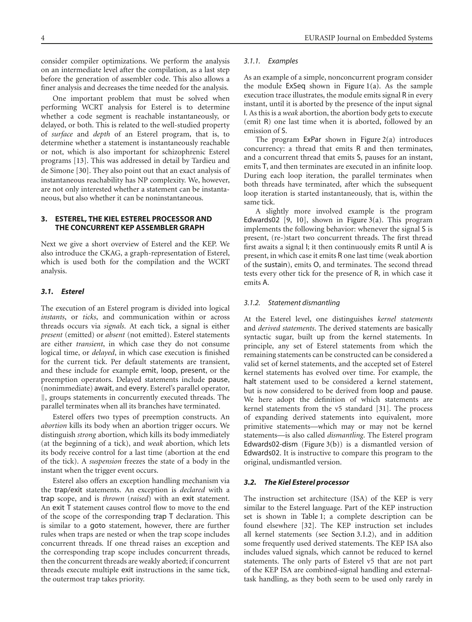consider compiler optimizations. We perform the analysis on an intermediate level after the compilation, as a last step before the generation of assembler code. This also allows a finer analysis and decreases the time needed for the analysis.

One important problem that must be solved when performing WCRT analysis for Esterel is to determine whether a code segment is reachable instantaneously, or delayed, or both. This is related to the well-studied property of *surface* and *depth* of an Esterel program, that is, to determine whether a statement is instantaneously reachable or not, which is also important for schizophrenic Esterel programs [13]. This was addressed in detail by Tardieu and de Simone [30]. They also point out that an exact analysis of instantaneous reachability has NP complexity. We, however, are not only interested whether a statement can be instantaneous, but also whether it can be noninstantaneous.

## **3. ESTEREL, THE KIEL ESTEREL PROCESSOR AND THE CONCURRENT KEP ASSEMBLER GRAPH**

Next we give a short overview of Esterel and the KEP. We also introduce the CKAG, a graph-representation of Esterel, which is used both for the compilation and the WCRT analysis.

#### *3.1. Esterel*

The execution of an Esterel program is divided into logical *instants*, or *ticks*, and communication within or across threads occurs via *signals*. At each tick, a signal is either *present* (emitted) or *absent* (not emitted). Esterel statements are either *transient*, in which case they do not consume logical time, or *delayed*, in which case execution is finished for the current tick. Per default statements are transient, and these include for example emit, loop, present, or the preemption operators. Delayed statements include pause, (nonimmediate) await, and every. Esterel's parallel operator, , groups statements in concurrently executed threads. The parallel terminates when all its branches have terminated.

Esterel offers two types of preemption constructs. An *abortion* kills its body when an abortion trigger occurs. We distinguish *strong* abortion, which kills its body immediately (at the beginning of a tick), and *weak* abortion, which lets its body receive control for a last time (abortion at the end of the tick). A *suspension* freezes the state of a body in the instant when the trigger event occurs.

Esterel also offers an exception handling mechanism via the trap/exit statements. An exception is *declared* with a trap scope, and is *thrown* (*raised*) with an exit statement. An exit T statement causes control flow to move to the end of the scope of the corresponding trap T declaration. This is similar to a goto statement, however, there are further rules when traps are nested or when the trap scope includes concurrent threads. If one thread raises an exception and the corresponding trap scope includes concurrent threads, then the concurrent threads are weakly aborted; if concurrent threads execute multiple exit instructions in the same tick, the outermost trap takes priority.

#### *3.1.1. Examples*

As an example of a simple, nonconcurrent program consider the module ExSeq shown in Figure  $1(a)$ . As the sample execution trace illustrates, the module emits signal R in every instant, until it is aborted by the presence of the input signal I. As this is a *weak* abortion, the abortion body gets to execute (emit R) one last time when it is aborted, followed by an emission of S.

The program ExPar shown in Figure 2(a) introduces concurrency: a thread that emits R and then terminates, and a concurrent thread that emits S, pauses for an instant, emits T, and then terminates are executed in an infinite loop. During each loop iteration, the parallel terminates when both threads have terminated, after which the subsequent loop iteration is started instantaneously, that is, within the same tick.

A slightly more involved example is the program Edwards02 [9, 10], shown in Figure 3(a). This program implements the following behavior: whenever the signal S is present, (re-)start two concurrent threads. The first thread first awaits a signal I; it then continuously emits R until A is present, in which case it emits R one last time (weak abortion of the sustain), emits O, and terminates. The second thread tests every other tick for the presence of R, in which case it emits A.

## *3.1.2. Statement dismantling*

At the Esterel level, one distinguishes *kernel statements* and *derived statements*. The derived statements are basically syntactic sugar, built up from the kernel statements. In principle, any set of Esterel statements from which the remaining statements can be constructed can be considered a valid set of kernel statements, and the accepted set of Esterel kernel statements has evolved over time. For example, the halt statement used to be considered a kernel statement, but is now considered to be derived from loop and pause. We here adopt the definition of which statements are kernel statements from the v5 standard [31]. The process of expanding derived statements into equivalent, more primitive statements—which may or may not be kernel statements—is also called *dismantling*. The Esterel program Edwards02-dism (Figure  $3(b)$ ) is a dismantled version of Edwards02. It is instructive to compare this program to the original, undismantled version.

## *3.2. The Kiel Esterel processor*

The instruction set architecture (ISA) of the KEP is very similar to the Esterel language. Part of the KEP instruction set is shown in Table 1; a complete description can be found elsewhere [32]. The KEP instruction set includes all kernel statements (see Section 3.1.2), and in addition some frequently used derived statements. The KEP ISA also includes valued signals, which cannot be reduced to kernel statements. The only parts of Esterel v5 that are not part of the KEP ISA are combined-signal handling and externaltask handling, as they both seem to be used only rarely in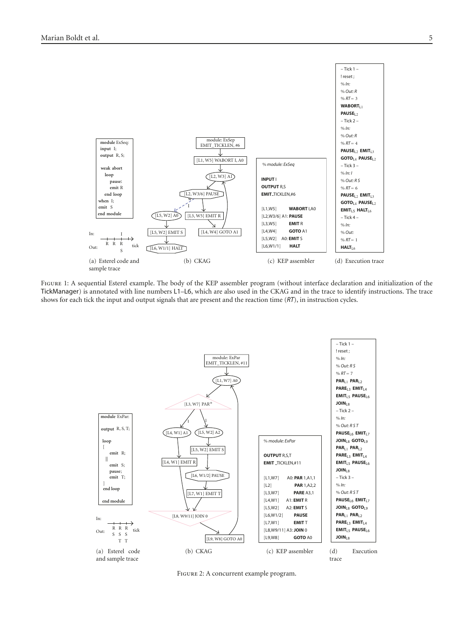

FIGURE 1: A sequential Esterel example. The body of the KEP assembler program (without interface declaration and initialization of the TickManager) is annotated with line numbers L1–L6, which are also used in the CKAG and in the trace to identify instructions. The trace shows for each tick the input and output signals that are present and the reaction time (*RT*), in instruction cycles.



Figure 2: A concurrent example program.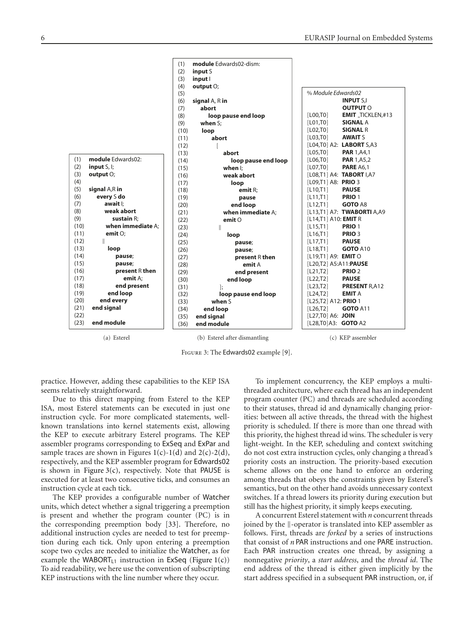

(a) Esterel

(b) Esterel after dismantling

(c) KEP assembler

Figure 3: The Edwards02 example [9].

practice. However, adding these capabilities to the KEP ISA seems relatively straightforward.

Due to this direct mapping from Esterel to the KEP ISA, most Esterel statements can be executed in just one instruction cycle. For more complicated statements, wellknown translations into kernel statements exist, allowing the KEP to execute arbitrary Esterel programs. The KEP assembler programs corresponding to ExSeq and ExPar and sample traces are shown in Figures 1(c)-1(d) and 2(c)-2(d), respectively, and the KEP assembler program for Edwards02 is shown in Figure  $3(c)$ , respectively. Note that PAUSE is executed for at least two consecutive ticks, and consumes an instruction cycle at each tick.

The KEP provides a configurable number of Watcher units, which detect whether a signal triggering a preemption is present and whether the program counter (PC) is in the corresponding preemption body [33]. Therefore, no additional instruction cycles are needed to test for preemption during each tick. Only upon entering a preemption scope two cycles are needed to initialize the Watcher, as for example the WABORT<sub>L1</sub> instruction in ExSeq (Figure  $1(c)$ ) To aid readability, we here use the convention of subscripting KEP instructions with the line number where they occur.

To implement concurrency, the KEP employs a multithreaded architecture, where each thread has an independent program counter (PC) and threads are scheduled according to their statuses, thread id and dynamically changing priorities: between all active threads, the thread with the highest priority is scheduled. If there is more than one thread with this priority, the highest thread id wins. The scheduler is very light-weight. In the KEP, scheduling and context switching do not cost extra instruction cycles, only changing a thread's priority costs an instruction. The priority-based execution scheme allows on the one hand to enforce an ordering among threads that obeys the constraints given by Esterel's semantics, but on the other hand avoids unnecessary context switches. If a thread lowers its priority during execution but still has the highest priority, it simply keeps executing.

A concurrent Esterel statement with *n* concurrent threads joined by the  $\parallel$ -operator is translated into KEP assembler as follows. First, threads are *forked* by a series of instructions that consist of *n* PAR instructions and one PARE instruction. Each PAR instruction creates one thread, by assigning a nonnegative *priority*, a *start address*, and the *thread id*. The end address of the thread is either given implicitly by the start address specified in a subsequent PAR instruction, or, if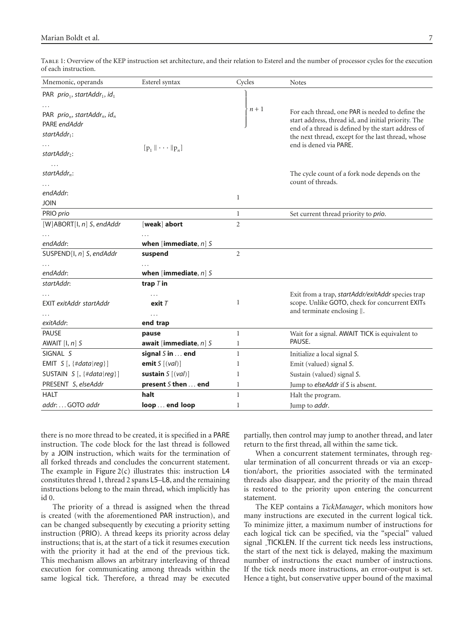| Mnemonic, operands                                               | Esterel syntax               | Cycles         | <b>Notes</b>                                                                                            |  |  |  |  |
|------------------------------------------------------------------|------------------------------|----------------|---------------------------------------------------------------------------------------------------------|--|--|--|--|
| PAR $prio_1$ , startAddr <sub>1</sub> , id <sub>1</sub>          |                              |                |                                                                                                         |  |  |  |  |
| PAR prio <sub>n</sub> , startAddr <sub>n</sub> , id <sub>n</sub> |                              | $n+1$          | For each thread, one PAR is needed to define the<br>start address, thread id, and initial priority. The |  |  |  |  |
| PARE endAddr                                                     |                              |                | end of a thread is defined by the start address of                                                      |  |  |  |  |
| startAddr $_1$ :                                                 |                              |                | the next thread, except for the last thread, whose<br>end is dened via PARE.                            |  |  |  |  |
|                                                                  | $[p_1\,\ \cdots\,\ p_n]$     |                |                                                                                                         |  |  |  |  |
| startAddr <sub>2</sub> :<br>.                                    |                              |                |                                                                                                         |  |  |  |  |
| start $Addr_n$ :                                                 |                              |                | The cycle count of a fork node depends on the                                                           |  |  |  |  |
|                                                                  |                              |                | count of threads.                                                                                       |  |  |  |  |
| endAddr:                                                         |                              |                |                                                                                                         |  |  |  |  |
| JOIN                                                             |                              | $\mathbf{1}$   |                                                                                                         |  |  |  |  |
| PRIO prio                                                        |                              | $\mathbf{1}$   | Set current thread priority to prio.                                                                    |  |  |  |  |
| $[W]$ ABORT $[I, n]$ S, endAddr                                  | [weak] abort                 | $\overline{c}$ |                                                                                                         |  |  |  |  |
|                                                                  |                              |                |                                                                                                         |  |  |  |  |
| endAddr:                                                         | when [immediate, $n$ ] S     |                |                                                                                                         |  |  |  |  |
| SUSPEND[I, $n$ ] S, endAddr                                      | suspend                      | $\overline{2}$ |                                                                                                         |  |  |  |  |
|                                                                  |                              |                |                                                                                                         |  |  |  |  |
| endAddr:                                                         | when [immediate, $n$ ] S     |                |                                                                                                         |  |  |  |  |
| startAddr:                                                       | trap $T$ in                  |                |                                                                                                         |  |  |  |  |
|                                                                  |                              |                | Exit from a trap, startAddr/exitAddr species trap                                                       |  |  |  |  |
| <b>EXIT exitAddr startAddr</b>                                   | exit $T$                     | 1              | scope. Unlike GOTO, check for concurrent EXITs                                                          |  |  |  |  |
|                                                                  |                              |                | and terminate enclosing   .                                                                             |  |  |  |  |
| exitAddr:                                                        | end trap                     |                |                                                                                                         |  |  |  |  |
| <b>PAUSE</b>                                                     | pause                        | 1              | Wait for a signal. AWAIT TICK is equivalent to                                                          |  |  |  |  |
| AWAIT $[I, n]$ S                                                 | await [immediate, $n$ ] S    | $\mathbf{1}$   | PAUSE.                                                                                                  |  |  |  |  |
| SIGNAL S                                                         | signal $S$ in $\dots$ end    | $\mathbf{1}$   | Initialize a local signal S.                                                                            |  |  |  |  |
| EMIT $S$ [, {#data reg}]                                         | emit $S$ $[val]$             | 1              | Emit (valued) signal S.                                                                                 |  |  |  |  |
| SUSTAIN S [, {#data reg}]                                        | sustain $S$ [(val)]          | 1              | Sustain (valued) signal S.                                                                              |  |  |  |  |
| PRESENT S, elseAddr                                              | present $S$ then $\dots$ end | $\mathbf{1}$   | Jump to elseAddr if S is absent.                                                                        |  |  |  |  |
| <b>HALT</b>                                                      | halt                         | $\mathbf{1}$   | Halt the program.                                                                                       |  |  |  |  |
| addr:  GOTO addr                                                 | loop  end loop               | 1              | Jump to addr.                                                                                           |  |  |  |  |

Table 1: Overview of the KEP instruction set architecture, and their relation to Esterel and the number of processor cycles for the execution of each instruction.

there is no more thread to be created, it is specified in a PARE instruction. The code block for the last thread is followed by a JOIN instruction, which waits for the termination of all forked threads and concludes the concurrent statement. The example in Figure  $2(c)$  illustrates this: instruction L4 constitutes thread 1, thread 2 spans L5–L8, and the remaining instructions belong to the main thread, which implicitly has id 0.

The priority of a thread is assigned when the thread is created (with the aforementioned PAR instruction), and can be changed subsequently by executing a priority setting instruction (PRIO). A thread keeps its priority across delay instructions; that is, at the start of a tick it resumes execution with the priority it had at the end of the previous tick. This mechanism allows an arbitrary interleaving of thread execution for communicating among threads within the same logical tick. Therefore, a thread may be executed

partially, then control may jump to another thread, and later return to the first thread, all within the same tick.

When a concurrent statement terminates, through regular termination of all concurrent threads or via an exception/abort, the priorities associated with the terminated threads also disappear, and the priority of the main thread is restored to the priority upon entering the concurrent statement.

The KEP contains a *TickManager*, which monitors how many instructions are executed in the current logical tick. To minimize jitter, a maximum number of instructions for each logical tick can be specified, via the "special" valued signal TICKLEN. If the current tick needs less instructions, the start of the next tick is delayed, making the maximum number of instructions the exact number of instructions. If the tick needs more instructions, an error-output is set. Hence a tight, but conservative upper bound of the maximal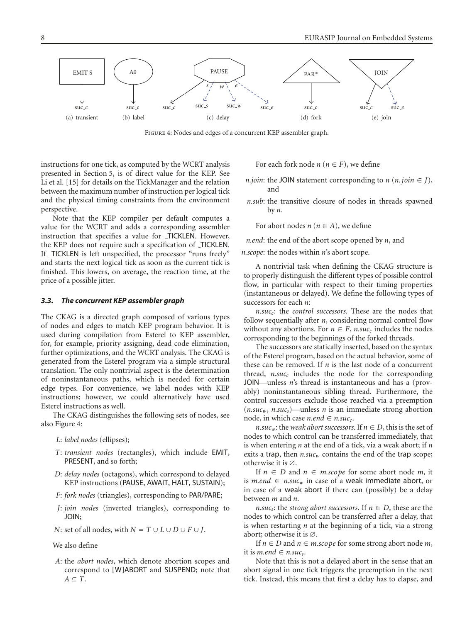

Figure 4: Nodes and edges of a concurrent KEP assembler graph.

instructions for one tick, as computed by the WCRT analysis presented in Section 5, is of direct value for the KEP. See Li et al. [15] for details on the TickManager and the relation between the maximum number of instruction per logical tick and the physical timing constraints from the environment perspective.

Note that the KEP compiler per default computes a value for the WCRT and adds a corresponding assembler instruction that specifies a value for \_TICKLEN. However, the KEP does not require such a specification of \_TICKLEN. If \_TICKLEN is left unspecified, the processor "runs freely" and starts the next logical tick as soon as the current tick is finished. This lowers, on average, the reaction time, at the price of a possible jitter.

## *3.3. The concurrent KEP assembler graph*

The CKAG is a directed graph composed of various types of nodes and edges to match KEP program behavior. It is used during compilation from Esterel to KEP assembler, for, for example, priority assigning, dead code elimination, further optimizations, and the WCRT analysis. The CKAG is generated from the Esterel program via a simple structural translation. The only nontrivial aspect is the determination of noninstantaneous paths, which is needed for certain edge types. For convenience, we label nodes with KEP instructions; however, we could alternatively have used Esterel instructions as well.

The CKAG distinguishes the following sets of nodes, see also Figure 4:

- *L*: *label nodes* (ellipses);
- *T*: *transient nodes* (rectangles), which include EMIT, PRESENT, and so forth;
- *D*: *delay nodes* (octagons), which correspond to delayed KEP instructions (PAUSE, AWAIT, HALT, SUSTAIN);
- *F*: *fork nodes* (triangles), corresponding to PAR/PARE;
- *J*: *join nodes* (inverted triangles), corresponding to JOIN;
- *N*: set of all nodes, with  $N = T \cup L \cup D \cup F \cup J$ .

We also define

*A*: the *abort nodes*, which denote abortion scopes and correspond to [W]ABORT and SUSPEND; note that *A* ⊆ *T*.

For each fork node  $n (n \in F)$ , we define

- *n.join*: the JOIN statement corresponding to *n* (*n.join*  $\in$  *J*), and
- *n.sub*: the transitive closure of nodes in threads spawned by *n*.

For abort nodes *n* ( $n \in A$ ), we define

*n.end*: the end of the abort scope opened by *n*, and

*n.scope*: the nodes within *n*'s abort scope.

A nontrivial task when defining the CKAG structure is to properly distinguish the different types of possible control flow, in particular with respect to their timing properties (instantaneous or delayed). We define the following types of successors for each *n*:

*n.succ*: the *control successors*. These are the nodes that follow sequentially after *n*, considering normal control flow without any abortions. For  $n \in F$ , *n.suc<sub>c</sub>* includes the nodes corresponding to the beginnings of the forked threads.

The successors are statically inserted, based on the syntax of the Esterel program, based on the actual behavior, some of these can be removed. If *n* is the last node of a concurrent thread,  $n.suc_c$  includes the node for the corresponding JOIN—unless *n*'s thread is instantaneous and has a (provably) noninstantaneous sibling thread. Furthermore, the control successors exclude those reached via a preemption  $(n.suc_w, n.suc_s)$ —unless *n* is an immediate strong abortion node, in which case *n.end*  $\in$  *n.suc<sub>c</sub>*.

*n.suc<sub>w</sub>*: the *weak abort successors*. If  $n \in D$ , this is the set of nodes to which control can be transferred immediately, that is when entering *n* at the end of a tick, via a weak abort; if *n* exits a trap, then  $n.suc_w$  contains the end of the trap scope; otherwise it is ∅.

If  $n \in D$  and  $n \in m$ .scope for some abort node *m*, it is *m.end*  $\in$  *n.suc<sub>w</sub>* in case of a weak immediate abort, or in case of a weak abort if there can (possibly) be a delay between *m* and *n*.

*n.suc*<sub>s</sub>: the *strong abort successors*. If  $n \in D$ , these are the nodes to which control can be transferred after a delay, that is when restarting *n* at the beginning of a tick, via a strong abort; otherwise it is ∅.

If  $n \in D$  and  $n \in m$ .scope for some strong abort node *m*, it is *m.end*  $\in$  *n.suc<sub>s</sub>*.

Note that this is not a delayed abort in the sense that an abort signal in one tick triggers the preemption in the next tick. Instead, this means that first a delay has to elapse, and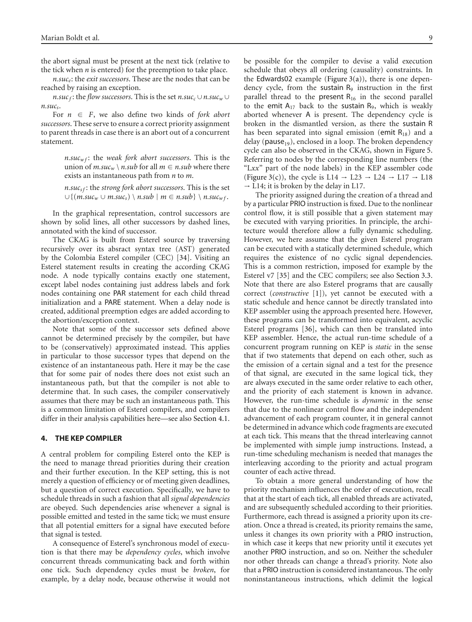the abort signal must be present at the next tick (relative to the tick when *n* is entered) for the preemption to take place.

*n.suce*: the *exit successors*. These are the nodes that can be reached by raising an exception.

*n.suc*<sub>f</sub>: the *flow successors*. This is the set *n.suc*<sub>c</sub>∪ *n.suc*<sub>w</sub>∪ *n.sucs*.

For  $n \in F$ , we also define two kinds of *fork abort successors*. These serve to ensure a correct priority assignment to parent threads in case there is an abort out of a concurrent statement.

> $n.suc<sub>wf</sub>$ : the *weak fork abort successors*. This is the union of *m.suc<sub>w</sub>* \ *n.sub* for all  $m \in n$ *.sub* where there exists an instantaneous path from *n* to *m*.

> *n.sucs f* : the *strong fork abort successors*. This is the set  $\cup \{ (m.suc_w \cup m.suc_s) \setminus n.sub \mid m \in n.sub \} \setminus n.suc_w$ f.

In the graphical representation, control successors are shown by solid lines, all other successors by dashed lines, annotated with the kind of successor.

The CKAG is built from Esterel source by traversing recursively over its absract syntax tree (AST) generated by the Colombia Esterel compiler (CEC) [34]. Visiting an Esterel statement results in creating the according CKAG node. A node typically contains exactly one statement, except label nodes containing just address labels and fork nodes containing one PAR statement for each child thread initialization and a PARE statement. When a delay node is created, additional preemption edges are added according to the abortion/exception context.

Note that some of the successor sets defined above cannot be determined precisely by the compiler, but have to be (conservatively) approximated instead. This applies in particular to those successor types that depend on the existence of an instantaneous path. Here it may be the case that for some pair of nodes there does not exist such an instantaneous path, but that the compiler is not able to determine that. In such cases, the compiler conservatively assumes that there may be such an instantaneous path. This is a common limitation of Esterel compilers, and compilers differ in their analysis capabilities here—see also Section 4.1.

#### **4. THE KEP COMPILER**

A central problem for compiling Esterel onto the KEP is the need to manage thread priorities during their creation and their further execution. In the KEP setting, this is not merely a question of efficiency or of meeting given deadlines, but a question of correct execution. Specifically, we have to schedule threads in such a fashion that all *signal dependencies* are obeyed. Such dependencies arise whenever a signal is possible emitted and tested in the same tick; we must ensure that all potential emitters for a signal have executed before that signal is tested.

A consequence of Esterel's synchronous model of execution is that there may be *dependency cycles*, which involve concurrent threads communicating back and forth within one tick. Such dependency cycles must be *broken*, for example, by a delay node, because otherwise it would not

be possible for the compiler to devise a valid execution schedule that obeys all ordering (causality) constraints. In the Edwards02 example (Figure  $3(a)$ ), there is one dependency cycle, from the sustain  $R_9$  instruction in the first parallel thread to the present  $R_{16}$  in the second parallel to the emit  $A_{17}$  back to the sustain  $R_9$ , which is weakly aborted whenever A is present. The dependency cycle is broken in the dismantled version, as there the sustain R has been separated into signal emission (emit  $R_{18}$ ) and a delay ( $\mathsf{pause}_{19}$ ), enclosed in a loop. The broken dependency cycle can also be observed in the CKAG, shown in Figure 5. Referring to nodes by the corresponding line numbers (the "L*xx*" part of the node labels) in the KEP assembler code (Figure 3(c)), the cycle is L14  $\rightarrow$  L23  $\rightarrow$  L24  $\rightarrow$  L17  $\rightarrow$  L18  $\rightarrow$  L14; it is broken by the delay in L17.

The priority assigned during the creation of a thread and by a particular PRIO instruction is fixed. Due to the nonlinear control flow, it is still possible that a given statement may be executed with varying priorities. In principle, the architecture would therefore allow a fully dynamic scheduling. However, we here assume that the given Esterel program can be executed with a statically determined schedule, which requires the existence of no cyclic signal dependencies. This is a common restriction, imposed for example by the Esterel v7 [35] and the CEC compilers; see also Section 3.3. Note that there are also Esterel programs that are causally correct (*constructive* [1]), yet cannot be executed with a static schedule and hence cannot be directly translated into KEP assembler using the approach presented here. However, these programs can be transformed into equivalent, acyclic Esterel programs [36], which can then be translated into KEP assembler. Hence, the actual run-time schedule of a concurrent program running on KEP is *static* in the sense that if two statements that depend on each other, such as the emission of a certain signal and a test for the presence of that signal, are executed in the same logical tick, they are always executed in the same order relative to each other, and the priority of each statement is known in advance. However, the run-time schedule is *dynamic* in the sense that due to the nonlinear control flow and the independent advancement of each program counter, it in general cannot be determined in advance which code fragments are executed at each tick. This means that the thread interleaving cannot be implemented with simple jump instructions. Instead, a run-time scheduling mechanism is needed that manages the interleaving according to the priority and actual program counter of each active thread.

To obtain a more general understanding of how the priority mechanism influences the order of execution, recall that at the start of each tick, all enabled threads are activated, and are subsequently scheduled according to their priorities. Furthermore, each thread is assigned a priority upon its creation. Once a thread is created, its priority remains the same, unless it changes its own priority with a PRIO instruction, in which case it keeps that new priority until it executes yet another PRIO instruction, and so on. Neither the scheduler nor other threads can change a thread's priority. Note also that a PRIO instruction is considered instantaneous. The only noninstantaneous instructions, which delimit the logical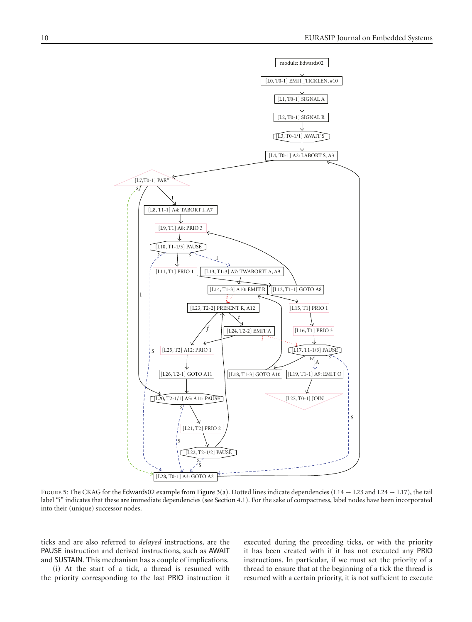

Figure 5: The CKAG for the Edwards02 example from Figure 3(a). Dotted lines indicate dependencies (L14 → L23 and L24 → L17), the tail label "i" indicates that these are immediate dependencies (see Section 4.1). For the sake of compactness, label nodes have been incorporated into their (unique) successor nodes.

ticks and are also referred to *delayed* instructions, are the PAUSE instruction and derived instructions, such as AWAIT and SUSTAIN. This mechanism has a couple of implications.

(i) At the start of a tick, a thread is resumed with the priority corresponding to the last PRIO instruction it executed during the preceding ticks, or with the priority it has been created with if it has not executed any PRIO instructions. In particular, if we must set the priority of a thread to ensure that at the beginning of a tick the thread is resumed with a certain priority, it is not sufficient to execute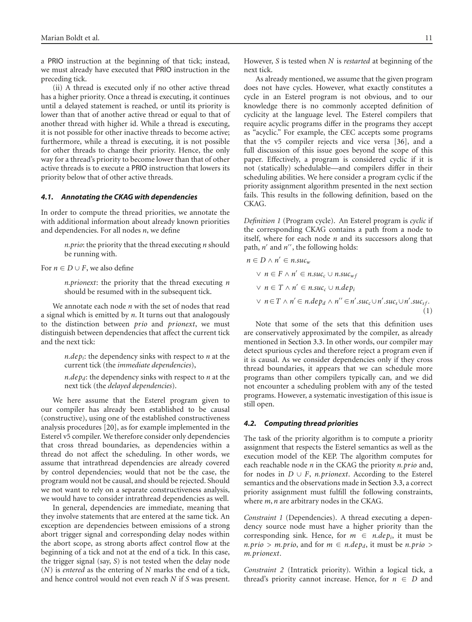a PRIO instruction at the beginning of that tick; instead, we must already have executed that PRIO instruction in the preceding tick.

(ii) A thread is executed only if no other active thread has a higher priority. Once a thread is executing, it continues until a delayed statement is reached, or until its priority is lower than that of another active thread or equal to that of another thread with higher id. While a thread is executing, it is not possible for other inactive threads to become active; furthermore, while a thread is executing, it is not possible for other threads to change their priority. Hence, the only way for a thread's priority to become lower than that of other active threads is to execute a PRIO instruction that lowers its priority below that of other active threads.

## *4.1. Annotating the CKAG with dependencies*

In order to compute the thread priorities, we annotate the with additional information about already known priorities and dependencies. For all nodes *n*, we define

> *n.prio*: the priority that the thread executing *n* should be running with.

For  $n \in D \cup F$ , we also define

*n.prionext*: the priority that the thread executing *n* should be resumed with in the subsequent tick.

We annotate each node *n* with the set of nodes that read a signal which is emitted by *n*. It turns out that analogously to the distinction between *prio* and *prionext*, we must distinguish between dependencies that affect the current tick and the next tick:

> *n.depi*: the dependency sinks with respect to *n* at the current tick (the *immediate dependencies*),

> *n.depd*: the dependency sinks with respect to *n* at the next tick (the *delayed dependencies*).

We here assume that the Esterel program given to our compiler has already been established to be causal (constructive), using one of the established constructiveness analysis procedures [20], as for example implemented in the Esterel v5 compiler. We therefore consider only dependencies that cross thread boundaries, as dependencies within a thread do not affect the scheduling. In other words, we assume that intrathread dependencies are already covered by control dependencies; would that not be the case, the program would not be causal, and should be rejected. Should we not want to rely on a separate constructiveness analysis, we would have to consider intrathread dependencies as well.

In general, dependencies are immediate, meaning that they involve statements that are entered at the same tick. An exception are dependencies between emissions of a strong abort trigger signal and corresponding delay nodes within the abort scope, as strong aborts affect control flow at the beginning of a tick and not at the end of a tick. In this case, the trigger signal (say, *S*) is not tested when the delay node (*N*) is *entered* as the entering of *N* marks the end of a tick, and hence control would not even reach *N* if *S* was present.

However, *S* is tested when *N* is *restarted* at beginning of the next tick.

As already mentioned, we assume that the given program does not have cycles. However, what exactly constitutes a cycle in an Esterel program is not obvious, and to our knowledge there is no commonly accepted definition of cyclicity at the language level. The Esterel compilers that require acyclic programs differ in the programs they accept as "acyclic." For example, the CEC accepts some programs that the v5 compiler rejects and vice versa [36], and a full discussion of this issue goes beyond the scope of this paper. Effectively, a program is considered cyclic if it is not (statically) schedulable—and compilers differ in their scheduling abilities. We here consider a program cyclic if the priority assignment algorithm presented in the next section fails. This results in the following definition, based on the CKAG.

*Definition 1* (Program cycle). An Esterel program is *cyclic* if the corresponding CKAG contains a path from a node to itself, where for each node *n* and its successors along that path, *n'* and *n''*, the following holds:

$$
n \in D \land n' \in n.suc_w
$$
  
\n
$$
\lor n \in F \land n' \in n.suc_c \cup n.suc_wf
$$
  
\n
$$
\lor n \in T \land n' \in n.suc_c \cup n.dep_i
$$
  
\n
$$
\lor n \in T \land n' \in n.dep_d \land n'' \in n'.suc_c \cup n'.suc_s \cup n'.suc_{sf}.
$$
  
\n(1)

Note that some of the sets that this definition uses are conservatively approximated by the compiler, as already mentioned in Section 3.3. In other words, our compiler may detect spurious cycles and therefore reject a program even if it is causal. As we consider dependencies only if they cross thread boundaries, it appears that we can schedule more programs than other compilers typically can, and we did not encounter a scheduling problem with any of the tested programs. However, a systematic investigation of this issue is still open.

### *4.2. Computing thread priorities*

The task of the priority algorithm is to compute a priority assignment that respects the Esterel semantics as well as the execution model of the KEP. The algorithm computes for each reachable node *n* in the CKAG the priority *n.prio* and, for nodes in  $D \cup F$ , *n.prionext*. According to the Esterel semantics and the observations made in Section 3.3, a correct priority assignment must fulfill the following constraints, where *m*, *n* are arbitrary nodes in the CKAG.

*Constraint 1* (Dependencies). A thread executing a dependency source node must have a higher priority than the corresponding sink. Hence, for  $m \in n.dep_i$ , it must be *n.prio > m.prio,* and for  $m \in n$ .dep<sub>d</sub>, it must be *n.prio > m.prionext*.

*Constraint 2* (Intratick priority). Within a logical tick, a thread's priority cannot increase. Hence, for  $n \in D$  and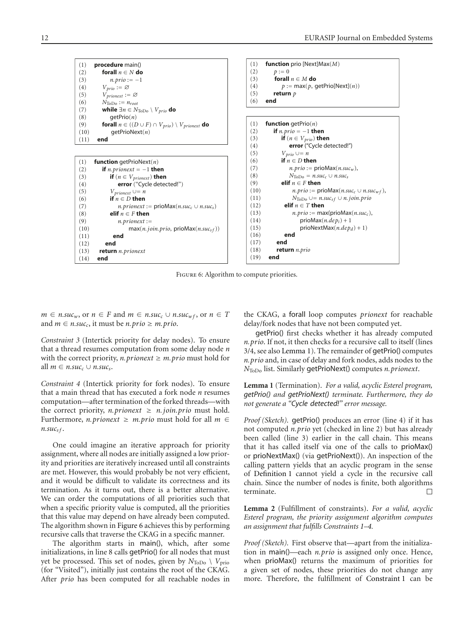

FIGURE 6: Algorithm to compute priorities.

 $m \in n$ *.suc<sub>w</sub>*, or  $n \in F$  and  $m \in n$ *.suc<sub>c</sub>* ∪ *n.suc<sub>wf</sub>*, or  $n \in T$ and  $m \in n$ *.suc<sub>c</sub>*, it must be *n.prio*  $\geq m$ *.prio.* 

*Constraint 3* (Intertick priority for delay nodes). To ensure that a thread resumes computation from some delay node *n* with the correct priority, *n. prionext*  $\geq m$ *. prio* must hold for all  $m \in n$ *.suc<sub>c</sub>* ∪ *n.suc<sub>s</sub>*.

*Constraint 4* (Intertick priority for fork nodes). To ensure that a main thread that has executed a fork node *n* resumes computation—after termination of the forked threads—with the correct priority, *n.prionext*  $\geq n$ .*join.prio* must hold. Furthermore, *n.prionext*  $\geq m$ .prio must hold for all  $m \in$  $n.suc<sub>sf</sub>$ .

One could imagine an iterative approach for priority assignment, where all nodes are initially assigned a low priority and priorities are iteratively increased until all constraints are met. However, this would probably be not very efficient, and it would be difficult to validate its correctness and its termination. As it turns out, there is a better alternative. We can order the computations of all priorities such that when a specific priority value is computed, all the priorities that this value may depend on have already been computed. The algorithm shown in Figure 6 achieves this by performing recursive calls that traverse the CKAG in a specific manner.

The algorithm starts in main(), which, after some initializations, in line 8 calls getPrio() for all nodes that must yet be processed. This set of nodes, given by  $N_{\text{ToDo}} \setminus V_{\text{prio}}$ (for "Visited"), initially just contains the root of the CKAG. After *prio* has been computed for all reachable nodes in

the CKAG, a forall loop computes *prionext* for reachable delay/fork nodes that have not been computed yet.

getPrio() first checks whether it has already computed *n.prio*. If not, it then checks for a recursive call to itself (lines 3/4, see also Lemma 1). The remainder of getPrio() computes *n.prio* and, in case of delay and fork nodes, adds nodes to the *N*ToDo list. Similarly getPrioNext() computes *n.prionext*.

**Lemma 1** (Termination). *For a valid, acyclic Esterel program, getPrio() and getPrioNext() terminate. Furthermore, they do not generate a "Cycle detected!" error message.*

*Proof (Sketch).* getPrio() produces an error (line 4) if it has not computed *n.prio* yet (checked in line 2) but has already been called (line 3) earlier in the call chain. This means that it has called itself via one of the calls to prioMax() or prioNextMax() (via getPrioNext()). An inspection of the calling pattern yields that an acyclic program in the sense of Definition 1 cannot yield a cycle in the recursive call chain. Since the number of nodes is finite, both algorithms terminate.  $\Box$ 

**Lemma 2** (Fulfillment of constraints). *For a valid, acyclic Esterel program, the priority assignment algorithm computes an assignment that fulfills Constraints 1–4.*

*Proof (Sketch).* First observe that—apart from the initialization in main()—each *n.prio* is assigned only once. Hence, when prioMax() returns the maximum of priorities for a given set of nodes, these priorities do not change any more. Therefore, the fulfillment of Constraint 1 can be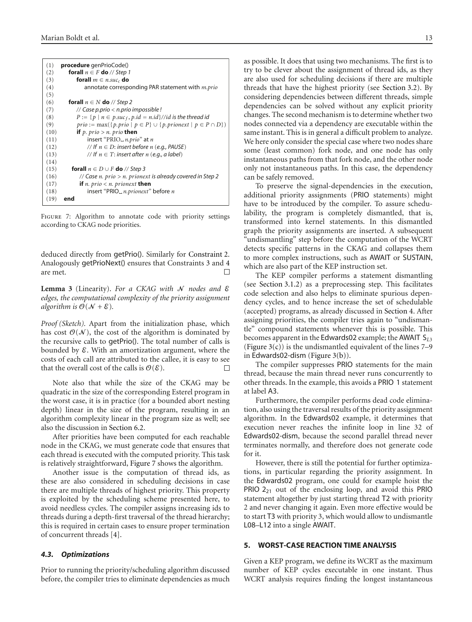| (1)  | <b>procedure</b> genPrioCode()                                                        |
|------|---------------------------------------------------------------------------------------|
| (2)  | <b>forall</b> $n \in F$ <b>do</b> // Step 1                                           |
| (3)  | forall $m \in n$ suce do                                                              |
| (4)  | annotate corresponding PAR statement with <i>m.prio</i>                               |
| (5)  |                                                                                       |
| (6)  | <b>forall</b> $n \in N$ <b>do</b> // Step 2                                           |
| (7)  | // Case p.prio < n.prio impossible !                                                  |
| (8)  | $P := \{ p \mid n \in p$ .suc f, p.id = n.id}//id is the thread id                    |
| (9)  | prio := max({ $p. prio \mid p \in P$ } $\cup$ { $p. prio next \mid p \in P \cap D$ }) |
| (10) | if p. prio > n. prio then                                                             |
| (11) | insert "PRIO <sub>-n.prio</sub> " at n                                                |
| (12) | // If $n \in D$ : insert before n (e.g., PAUSE)                                       |
| (13) | // If $n \in T$ : insert after n (e.g., a label)                                      |
| (14) |                                                                                       |
| (15) | <b>forall</b> $n \in D \cup F$ <b>do</b> // Step 3                                    |
| (16) | // Case n. prio > n. prionext is already covered in Step 2                            |
| (17) | <b>if</b> <i>n.</i> $prio < n$ <i>. prionext</i> <b>then</b>                          |
| (18) | insert "PRIO <sub>-1</sub> n.prionext" before n                                       |
| (19) | end                                                                                   |

Figure 7: Algorithm to annotate code with priority settings according to CKAG node priorities.

deduced directly from getPrio(). Similarly for Constraint 2. Analogously getPrioNext() ensures that Constraints 3 and 4 are met.  $\Box$ 

Lemma 3 (Linearity). For a CKAG with N nodes and & *edges, the computational complexity of the priority assignment algorithm is*  $O(N + \mathcal{E})$ *.* 

*Proof (Sketch).* Apart from the initialization phase, which has cost  $\mathcal{O}(\mathcal{N})$ , the cost of the algorithm is dominated by the recursive calls to getPrio(). The total number of calls is bounded by  $\mathcal E$ . With an amortization argument, where the costs of each call are attributed to the callee, it is easy to see that the overall cost of the calls is  $\mathcal{O}(\mathcal{E})$ .  $\Box$ 

Note also that while the size of the CKAG may be quadratic in the size of the corresponding Esterel program in the worst case, it is in practice (for a bounded abort nesting depth) linear in the size of the program, resulting in an algorithm complexity linear in the program size as well; see also the discussion in Section 6.2.

After priorities have been computed for each reachable node in the CKAG, we must generate code that ensures that each thread is executed with the computed priority. This task is relatively straightforward, Figure 7 shows the algorithm.

Another issue is the computation of thread ids, as these are also considered in scheduling decisions in case there are multiple threads of highest priority. This property is exploited by the scheduling scheme presented here, to avoid needless cycles. The compiler assigns increasing ids to threads during a depth-first traversal of the thread hierarchy; this is required in certain cases to ensure proper termination of concurrent threads [4].

#### *4.3. Optimizations*

Prior to running the priority/scheduling algorithm discussed before, the compiler tries to eliminate dependencies as much as possible. It does that using two mechanisms. The first is to try to be clever about the assignment of thread ids, as they are also used for scheduling decisions if there are multiple threads that have the highest priority (see Section 3.2). By considering dependencies between different threads, simple dependencies can be solved without any explicit priority changes. The second mechanism is to determine whether two nodes connected via a dependency are executable within the same instant. This is in general a difficult problem to analyze. We here only consider the special case where two nodes share some (least common) fork node, and one node has only instantaneous paths from that fork node, and the other node only not instantaneous paths. In this case, the dependency can be safely removed.

To preserve the signal-dependencies in the execution, additional priority assignments (PRIO statements) might have to be introduced by the compiler. To assure schedulability, the program is completely dismantled, that is, transformed into kernel statements. In this dismantled graph the priority assignments are inserted. A subsequent "undismantling" step before the computation of the WCRT detects specific patterns in the CKAG and collapses them to more complex instructions, such as AWAIT or SUSTAIN, which are also part of the KEP instruction set.

The KEP compiler performs a statement dismantling (see Section 3.1.2) as a preprocessing step. This facilitates code selection and also helps to eliminate spurious dependency cycles, and to hence increase the set of schedulable (accepted) programs, as already discussed in Section 4. After assigning priorities, the compiler tries again to "undismantle" compound statements whenever this is possible. This becomes apparent in the Edwards02 example; the AWAIT S*L*<sup>3</sup> (Figure  $3(c)$ ) is the undismantled equivalent of the lines 7–9 in Edwards02-dism (Figure 3(b)).

The compiler suppresses PRIO statements for the main thread, because the main thread never runs concurrently to other threads. In the example, this avoids a PRIO 1 statement at label A3.

Furthermore, the compiler performs dead code elimination, also using the traversal results of the priority assignment algorithm. In the Edwards02 example, it determines that execution never reaches the infinite loop in line 32 of Edwards02-dism, because the second parallel thread never terminates normally, and therefore does not generate code for it.

However, there is still the potential for further optimizations, in particular regarding the priority assignment. In the Edwards02 program, one could for example hoist the PRIO  $2_{21}$  out of the enclosing loop, and avoid this PRIO statement altogether by just starting thread T2 with priority 2 and never changing it again. Even more effective would be to start T3 with priority 3, which would allow to undismantle L08–L12 into a single AWAIT.

#### **5. WORST-CASE REACTION TIME ANALYSIS**

Given a KEP program, we define its WCRT as the maximum number of KEP cycles executable in one instant. Thus WCRT analysis requires finding the longest instantaneous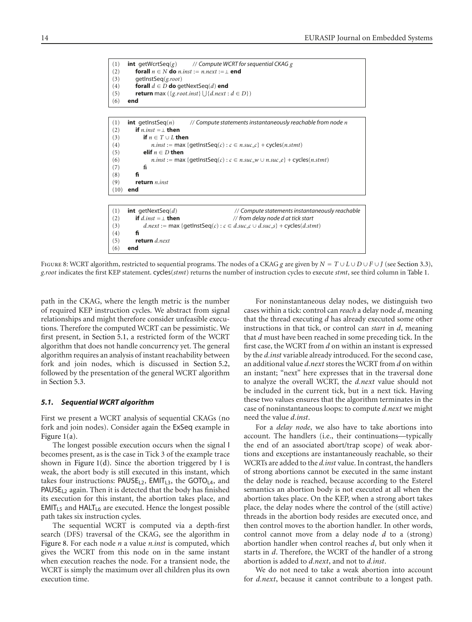```
(1) int getWcrtSeq(g) // Compute WCRT for sequential CKAG g
(2) forall n \in \mathbb{N} do n.inst := n.next :=⊥ end<br>(3) getInstSeq(g.root)
           (3) getInstSeq(g.root)
(4) forall d \in D do getNextSeq(d) end<br>(5) return max ({g.root.inst} | |{d.next :
(5) return max ({g.root.inst} \bigcup \{d.next : d \in D\})
(6) end
(1) int getInstSeq(n) // Compute statements instantaneously reachable from node n
(2) if n \text{.} inst = \perp then<br>(3) if n \in T \cup L tl
(3) if n \in T \cup L then<br>(4) n.inst := max
(4) n.nnst := \max \{ \text{getInstSeq}(c) : c \in n.suc_c \} + \text{cycles}(n.stmt)<br>(5) elif n \in D then
(5) elif n \in D then<br>(6) n.inst := max
               n.inst := \max \{ \text{getInstSeq}(c) : c \in n.suc_w \cup n.suc_e \} + \text{cycles}(n.stmt)(7) fi (8) fi
(8)(9) return n.inst
(10) end
(1) int getNextSeq(d) // Compute statements instantaneously reachable
(2) if d.nst = \perp then // from delay node d at tick start<br>(3) d.next := max \{qetlnstSeq(c) : c \in d.suc \subset \cup d.suc \subset s\} + cycles(d.strd.next := \max \{ \text{getInstSeq}(c) : c \in d.size \cup d.size \leq \} + \text{cycles}(d.start)\binom{4}{5}(5) return d.next
(6) end
```
FIGURE 8: WCRT algorithm, restricted to sequential programs. The nodes of a CKAG *g* are given by  $N = T \cup L \cup D \cup F \cup J$  (see Section 3.3), *g.root* indicates the first KEP statement. cycles(*stmt*) returns the number of instruction cycles to execute *stmt*, see third column in Table 1.

path in the CKAG, where the length metric is the number of required KEP instruction cycles. We abstract from signal relationships and might therefore consider unfeasible executions. Therefore the computed WCRT can be pessimistic. We first present, in Section 5.1, a restricted form of the WCRT algorithm that does not handle concurrency yet. The general algorithm requires an analysis of instant reachability between fork and join nodes, which is discussed in Section 5.2, followed by the presentation of the general WCRT algorithm in Section 5.3.

## *5.1. Sequential WCRT algorithm*

First we present a WCRT analysis of sequential CKAGs (no fork and join nodes). Consider again the ExSeq example in Figure 1(a).

The longest possible execution occurs when the signal I becomes present, as is the case in Tick 3 of the example trace shown in Figure 1(d). Since the abortion triggered by  $\vert$  is weak, the abort body is still executed in this instant, which takes four instructions:  $PAUSE_{L2}$ ,  $EMIT_{L3}$ , the GOTO<sub>L4</sub>, and PAUSEL2 again. Then it is detected that the body has finished its execution for this instant, the abortion takes place, and  $EMIT<sub>L5</sub>$  and  $HALT<sub>L6</sub>$  are executed. Hence the longest possible path takes six instruction cycles.

The sequential WCRT is computed via a depth-first search (DFS) traversal of the CKAG, see the algorithm in Figure 8. For each node *n* a value *n.inst* is computed, which gives the WCRT from this node on in the same instant when execution reaches the node. For a transient node, the WCRT is simply the maximum over all children plus its own execution time.

For noninstantaneous delay nodes, we distinguish two cases within a tick: control can *reach* a delay node *d*, meaning that the thread executing *d* has already executed some other instructions in that tick, or control can *start* in *d*, meaning that *d* must have been reached in some preceding tick. In the first case, the WCRT from *d* on within an instant is expressed by the *d.inst* variable already introduced. For the second case, an additional value *d.next* stores the WCRT from *d* on within an instant; "next" here expresses that in the traversal done to analyze the overall WCRT, the *d.next* value should not be included in the current tick, but in a next tick. Having these two values ensures that the algorithm terminates in the case of noninstantaneous loops: to compute *d.next* we might need the value *d.inst*.

For a *delay node*, we also have to take abortions into account. The handlers (i.e., their continuations—typically the end of an associated abort/trap scope) of weak abortions and exceptions are instantaneously reachable, so their WCRTs are added to the *d.inst* value. In contrast, the handlers of strong abortions cannot be executed in the same instant the delay node is reached, because according to the Esterel semantics an abortion body is not executed at all when the abortion takes place. On the KEP, when a strong abort takes place, the delay nodes where the control of the (still active) threads in the abortion body resides are executed once, and then control moves to the abortion handler. In other words, control cannot move from a delay node *d* to a (strong) abortion handler when control reaches *d*, but only when it starts in *d*. Therefore, the WCRT of the handler of a strong abortion is added to *d.next*, and not to *d.inst*.

We do not need to take a weak abortion into account for *d.next*, because it cannot contribute to a longest path.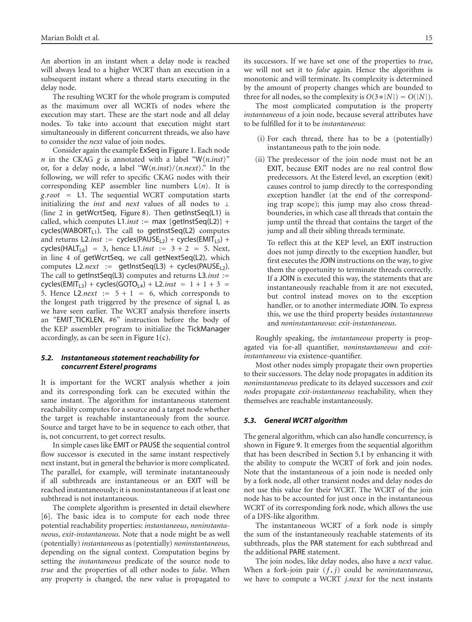An abortion in an instant when a delay node is reached will always lead to a higher WCRT than an execution in a subsequent instant where a thread starts executing in the delay node.

The resulting WCRT for the whole program is computed as the maximum over all WCRTs of nodes where the execution may start. These are the start node and all delay nodes. To take into account that execution might start simultaneously in different concurrent threads, we also have to consider the *next* value of join nodes.

Consider again the example ExSeq in Figure 1. Each node *n* in the CKAG *g* is annotated with a label " $W\langle n.inst \rangle$ " or, for a delay node, a label "W*n.inst/n.next*." In the following, we will refer to specific CKAG nodes with their corresponding KEP assembler line numbers  $L(n)$ . It is *g.root* = L1. The sequential WCRT computation starts initializing the *inst* and *next* values of all nodes to ⊥ (line 2 in getWcrtSeq, Figure 8). Then getInstSeq(L1) is called, which computes  $L1.nst := \max \{q \in L2\}$  +  $cycles(WABORT<sub>L1</sub>)$ . The call to  $getInstSeq(L2)$  computes and returns L2.*inst* := cycles(PAUSE<sub>L2</sub>) + cycles(EMIT<sub>L5</sub>) +  $cycles(HALT_{L6}) = 3$ , hence L1.*inst* :=  $3 + 2 = 5$ . Next, in line 4 of getWcrtSeq, we call getNextSeq(L2), which computes L2.next := getInstSeq(L3) + cycles(PAUSE<sub>L2</sub>). The call to getInstSeq(L3) computes and returns L3*.inst* :=  $cycles(EMIT_{L3}) + cycles(GOTO_{L4}) + L2*inst* = 1 + 1 + 3 =$ 5. Hence  $L2.next := 5 + 1 = 6$ , which corresponds to the longest path triggered by the presence of signal I, as we have seen earlier. The WCRT analysis therefore inserts an "EMIT TICKLEN, #6" instruction before the body of the KEP assembler program to initialize the TickManager accordingly, as can be seen in Figure  $1(c)$ .

## *5.2. Instantaneous statement reachability for concurrent Esterel programs*

It is important for the WCRT analysis whether a join and its corresponding fork can be executed within the same instant. The algorithm for instantaneous statement reachability computes for a source and a target node whether the target is reachable instantaneously from the source. Source and target have to be in sequence to each other, that is, not concurrent, to get correct results.

In simple cases like EMIT or PAUSE the sequential control flow successor is executed in the same instant respectively next instant, but in general the behavior is more complicated. The parallel, for example, will terminate instantaneously if all subthreads are instantaneous or an EXIT will be reached instantaneously; it is noninstantaneous if at least one subthread is not instantaneous.

The complete algorithm is presented in detail elsewhere [6]. The basic idea is to compute for each node three potential reachability properties: *instantaneous*, *noninstantaneous*, *exit-instantaneous*. Note that a node might be as well (potentially) *instantaneous* as (potentially) *noninstantaneous*, depending on the signal context. Computation begins by setting the *instantaneous* predicate of the source node to *true* and the properties of all other nodes to *false*. When any property is changed, the new value is propagated to

its successors. If we have set one of the properties to *true*, we will not set it to *false* again. Hence the algorithm is monotonic and will terminate. Its complexity is determined by the amount of property changes which are bounded to three for all nodes, so the complexity is  $O(3*|N|) = O(|N|)$ .

The most complicated computation is the property *instantaneous* of a join node, because several attributes have to be fulfilled for it to be *instantaneous*:

- (i) For each thread, there has to be a (potentially) instantaneous path to the join node.
- (ii) The predecessor of the join node must not be an EXIT, because EXIT nodes are no real control flow predecessors. At the Esterel level, an exception (exit) causes control to jump directly to the corresponding exception handler (at the end of the corresponding trap scope); this jump may also cross threadbounderies, in which case all threads that contain the jump until the thread that contains the target of the jump and all their sibling threads terminate.

To reflect this at the KEP level, an EXIT instruction does not jump directly to the exception handler, but first executes the JOIN instructions on the way, to give them the opportunity to terminate threads correctly. If a JOIN is executed this way, the statements that are instantaneously reachable from it are not executed, but control instead moves on to the exception handler, or to another intermediate JOIN. To express this, we use the third property besides *instantaneous* and *noninstantaneous*: *exit-instantaneous*.

Roughly speaking, the *instantaneous* property is propagated via for-all quantifier, *noninstantaneous* and *exitinstantaneous* via existence-quantifier.

Most other nodes simply propagate their own properties to their successors. The delay node propagates in addition its *noninstantaneous* predicate to its delayed successors and *exit nodes* propagate *exit-instantaneous* reachability, when they themselves are reachable instantaneously.

#### *5.3. General WCRT algorithm*

The general algorithm, which can also handle concurrency, is shown in Figure 9. It emerges from the sequential algorithm that has been described in Section 5.1 by enhancing it with the ability to compute the WCRT of fork and join nodes. Note that the instantaneous of a join node is needed only by a fork node, all other transient nodes and delay nodes do not use this value for their WCRT. The WCRT of the join node has to be accounted for just once in the instantaneous WCRT of its corresponding fork node, which allows the use of a DFS-like algorithm.

The instantaneous WCRT of a fork node is simply the sum of the instantaneously reachable statements of its subthreads, plus the PAR statement for each subthread and the additional PARE statement.

The join nodes, like delay nodes, also have a *next* value. When a fork-join pair (*f* , *j*) could be *noninstantaneous*, we have to compute a WCRT *j.next* for the next instants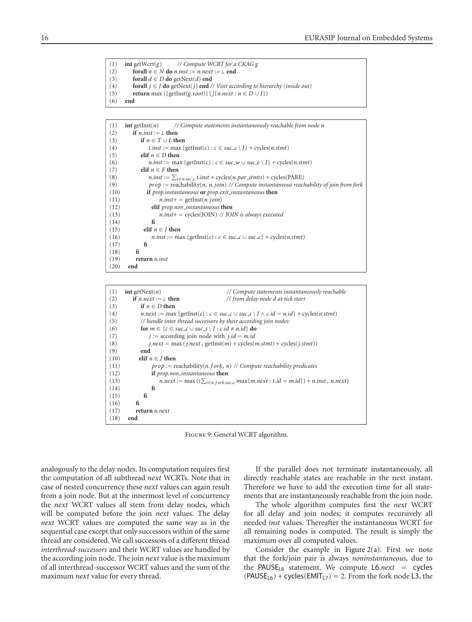(1) **int** getWcrt(*g*) *// Compute WCRT for a CKAG g* (2) **forall**  $n \in \mathbb{N}$  **do** *n.inst* := *n.next* :=  $\perp$  **end**<br>(3) **forall**  $d \in D$  **do** getNext(*d*) **end** (3) **forall**  $d \in D$  **do** getNext(*d*) **end** *(*4) **forall**  $j \in J$  **do** getNext(*j*) **end** */* (4) **forall**  $j \in J$  **do** getNext(*j*) **end** *// Visit according to hierarchy (inside out)*<br>(5) **return** max ({getInst(*g.root*}}  $\bigcup \{n.next : n \in D \cup J\}$ } (5) **return** max ({ $\{getInst(g(root)\} \bigcup \{n.next : n \in D \cup J\})$ 

(6) **end**

| (1)  | // Compute statements instantaneously reachable from node n<br>$int$ getInst $(n)$                |
|------|---------------------------------------------------------------------------------------------------|
| (2)  | if <i>n.inst</i> := $\perp$ then                                                                  |
| (3)  | if $n \in T \cup L$ then                                                                          |
| (4)  | <i>t.inst</i> := max {getInst(c) : $c \in suc_c \setminus J$ + cycles( <i>n.stmt</i> )            |
| (5)  | elif $n \in D$ then                                                                               |
| (6)  | <i>n.inst</i> := max {getInst(c) : $c \in suc_w \cup suc_e \setminus J$ + cycles( <i>n.stmt</i> ) |
| (7)  | elif $n \in F$ then                                                                               |
| (8)  | $n.n.$ inst := $\sum_{t \in n}$ suc c t.inst + cycles(n. par_stmts) + cycles(PARE)                |
| (9)  | $prop :=$ reachability(n, n. join) // Compute instantaneous reachability of join from fork        |
| (10) | if prop.instantaneous or prop.exit_instantaneous then                                             |
| (11) | $n.insert+ = getInst(n, join)$                                                                    |
| (12) | elif prop.non_instantaneous then                                                                  |
| (13) | $n.nst += cycles(JOIN) // JOIN is always executed$                                                |
| (14) | fi                                                                                                |
| (15) | elif $n \in I$ then                                                                               |
| (16) | $n.insert := max {getInst(c) : c \in succ_c \cup succ_e} + cycles(n.start)$                       |
| (17) | fi                                                                                                |
| (18) | fi                                                                                                |
| (19) | return $n$ , inst                                                                                 |
| (20) | end                                                                                               |
|      |                                                                                                   |

| (1)  | int getNext(n)                                                                                             | // Compute statements instantaneously reachable                                                |  |  |  |  |  |  |  |
|------|------------------------------------------------------------------------------------------------------------|------------------------------------------------------------------------------------------------|--|--|--|--|--|--|--|
| (2)  | if <i>n.next</i> := $\perp$ then<br>// from delay node d at tick start                                     |                                                                                                |  |  |  |  |  |  |  |
| (3)  | if $n \in D$ then                                                                                          |                                                                                                |  |  |  |  |  |  |  |
| (4)  | $n.next := max \{ getInst(c) : c \in succ_c \cup succ_s \setminus J \land c.id = n.id \} + cycles(n.stmt)$ |                                                                                                |  |  |  |  |  |  |  |
| (5)  | // handle inter thread successors by their according join nodes:                                           |                                                                                                |  |  |  |  |  |  |  |
| (6)  | for $m \in \{c \in succ_c \cup succ_s \setminus J : c.id \neq n.id\}$ do                                   |                                                                                                |  |  |  |  |  |  |  |
| (7)  | $i :=$ according join node with $i$ , $id = m$ , $id$                                                      |                                                                                                |  |  |  |  |  |  |  |
| (8)  |                                                                                                            | $j.next = max(j.next, getInst(m) + cycles(m.stmt) + cycles(j.stmt))$                           |  |  |  |  |  |  |  |
| (9)  | end                                                                                                        |                                                                                                |  |  |  |  |  |  |  |
| (10) | elif $n \in I$ then                                                                                        |                                                                                                |  |  |  |  |  |  |  |
| (11) |                                                                                                            | $prop := reachability(n, fork, n)$ // Compute reachability predicates                          |  |  |  |  |  |  |  |
| (12) | if prop.non_instantaneous then                                                                             |                                                                                                |  |  |  |  |  |  |  |
| (13) |                                                                                                            | $n.next := max ((\sum_{t \in n. for k, succ} max\{m.next : t.id = m.id\}) + n.insert, n.next)$ |  |  |  |  |  |  |  |
| (14) | fi                                                                                                         |                                                                                                |  |  |  |  |  |  |  |
| (15) | fi                                                                                                         |                                                                                                |  |  |  |  |  |  |  |
| (16) | fi                                                                                                         |                                                                                                |  |  |  |  |  |  |  |
| (17) | return $n.next$                                                                                            |                                                                                                |  |  |  |  |  |  |  |
| (18) | end                                                                                                        |                                                                                                |  |  |  |  |  |  |  |



analogously to the delay nodes. Its computation requires first the computation of all subthread *next* WCRTs. Note that in case of nested concurrency these *next* values can again result from a join node. But at the innermost level of concurrency the *next* WCRT values all stem from delay nodes, which will be computed before the join *next* values. The delay *next* WCRT values are computed the same way as in the sequential case except that only successors within of the same thread are considered. We call successors of a different thread *interthread-successors* and their WCRT values are handled by the according join node. The join *next* value is the maximum of all interthread-successor WCRT values and the sum of the maximum *next* value for every thread.

If the parallel does not terminate instantaneously, all directly reachable states are reachable in the next instant. Therefore we have to add the execution time for all statements that are instantaneously reachable from the join node.

The whole algorithm computes first the *next* WCRT for all delay and join nodes; it computes recursively all needed *inst* values. Thereafter the instantaneous WCRT for all remaining nodes is computed. The result is simply the maximum over all computed values.

Consider the example in Figure  $2(a)$ . First we note that the fork/join pair is always *noninstantaneous*, due to the PAUSE<sub>L6</sub> statement. We compute  $L6.next = cycles$  $(PAUSE_{LG}) + cycles(EMIT_{L7}) = 2.$  From the fork node L3, the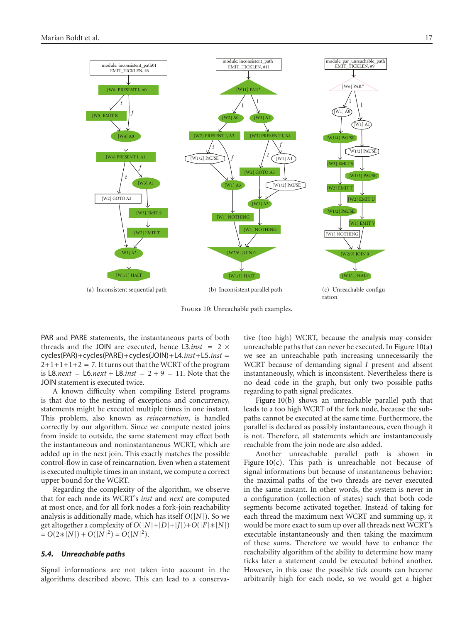

Figure 10: Unreachable path examples.

PAR and PARE statements, the instantaneous parts of both threads and the JOIN are executed, hence L3.*inst* =  $2 \times$ cycles(PAR)+cycles(PARE)+cycles(JOIN)+L4*.inst*+L5*.inst* =  $2+1+1+1+2 = 7$ . It turns out that the WCRT of the program is L8*.next* = L6*.next* + L8*.inst* = 2+9 = 11. Note that the JOIN statement is executed twice.

A known difficulty when compiling Esterel programs is that due to the nesting of exceptions and concurrency, statements might be executed multiple times in one instant. This problem, also known as *reincarnation*, is handled correctly by our algorithm. Since we compute nested joins from inside to outside, the same statement may effect both the instantaneous and noninstantaneous WCRT, which are added up in the next join. This exactly matches the possible control-flow in case of reincarnation. Even when a statement is executed multiple times in an instant, we compute a correct upper bound for the WCRT.

Regarding the complexity of the algorithm, we observe that for each node its WCRT's *inst* and *next* are computed at most once, and for all fork nodes a fork-join reachability analysis is additionally made, which has itself *O*(|*N*|). So we get altogether a complexity of  $O(|N|+|D|+|J|)+O(|F|*|N|)$  $= O(2*|N|) + O(|N|^2) = O(|N|^2).$ 

#### *5.4. Unreachable paths*

Signal informations are not taken into account in the algorithms described above. This can lead to a conservative (too high) WCRT, because the analysis may consider unreachable paths that can never be executed. In Figure 10(a) we see an unreachable path increasing unnecessarily the WCRT because of demanding signal *I* present and absent instantaneously, which is inconsistent. Nevertheless there is no dead code in the graph, but only two possible paths regarding to path signal predicates.

Figure 10(b) shows an unreachable parallel path that leads to a too high WCRT of the fork node, because the subpaths cannot be executed at the same time. Furthermore, the parallel is declared as possibly instantaneous, even though it is not. Therefore, all statements which are instantaneously reachable from the join node are also added.

Another unreachable parallel path is shown in Figure  $10(c)$ . This path is unreachable not because of signal informations but because of instantaneous behavior: the maximal paths of the two threads are never executed in the same instant. In other words, the system is never in a configuration (collection of states) such that both code segments become activated together. Instead of taking for each thread the maximum next WCRT and summing up, it would be more exact to sum up over all threads next WCRT's executable instantaneously and then taking the maximum of these sums. Therefore we would have to enhance the reachability algorithm of the ability to determine how many ticks later a statement could be executed behind another. However, in this case the possible tick counts can become arbitrarily high for each node, so we would get a higher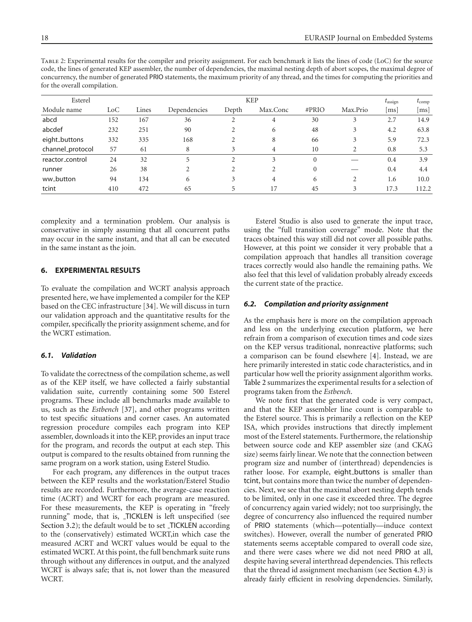Table 2: Experimental results for the compiler and priority assignment. For each benchmark it lists the lines of code (LoC) for the source code, the lines of generated KEP assembler, the number of dependencies, the maximal nesting depth of abort scopes, the maximal degree of concurrency, the number of generated PRIO statements, the maximum priority of any thread, and the times for computing the priorities and for the overall compilation.

| Esterel          |     |       | <b>KEP</b>   |       |                |              |          |      |                    |
|------------------|-----|-------|--------------|-------|----------------|--------------|----------|------|--------------------|
| Module name      | LoC | Lines | Dependencies | Depth | Max.Conc       | #PRIO        | Max.Prio | ms   | $\vert$ ms $\vert$ |
| abcd             | 152 | 167   | 36           |       | 4              | 30           | 3        | 2.7  | 14.9               |
| abcdef           | 232 | 251   | 90           |       | 6              | 48           | 3        | 4.2  | 63.8               |
| eight_buttons    | 332 | 335   | 168          |       | 8              | 66           | 3        | 5.9  | 72.3               |
| channel_protocol | 57  | 61    | 8            |       | 4              | 10           |          | 0.8  | 5.3                |
| reactor_control  | 24  | 32    | 5            |       | 3              | $\Omega$     |          | 0.4  | 3.9                |
| runner           | 26  | 38    |              |       | $\bigcap$<br>∠ | $\mathbf{0}$ |          | 0.4  | 4.4                |
| ww_button        | 94  | 134   | 6            |       | 4              | 6            |          | 1.6  | 10.0               |
| tcint            | 410 | 472   | 65           |       | 17             | 45           | 3        | 17.3 | 112.2              |

complexity and a termination problem. Our analysis is conservative in simply assuming that all concurrent paths may occur in the same instant, and that all can be executed in the same instant as the join.

## **6. EXPERIMENTAL RESULTS**

To evaluate the compilation and WCRT analysis approach presented here, we have implemented a compiler for the KEP based on the CEC infrastructure [34]. We will discuss in turn our validation approach and the quantitative results for the compiler, specifically the priority assignment scheme, and for the WCRT estimation.

### *6.1. Validation*

To validate the correctness of the compilation scheme, as well as of the KEP itself, we have collected a fairly substantial validation suite, currently containing some 500 Esterel programs. These include all benchmarks made available to us, such as the *Estbench* [37], and other programs written to test specific situations and corner cases. An automated regression procedure compiles each program into KEP assembler, downloads it into the KEP, provides an input trace for the program, and records the output at each step. This output is compared to the results obtained from running the same program on a work station, using Esterel Studio.

For each program, any differences in the output traces between the KEP results and the workstation/Esterel Studio results are recorded. Furthermore, the average-case reaction time (ACRT) and WCRT for each program are measured. For these measurements, the KEP is operating in "freely running" mode, that is, TICKLEN is left unspecified (see Section 3.2); the default would be to set \_TICKLEN according to the (conservatively) estimated WCRT,in which case the measured ACRT and WCRT values would be equal to the estimated WCRT. At this point, the full benchmark suite runs through without any differences in output, and the analyzed WCRT is always safe; that is, not lower than the measured WCRT.

Esterel Studio is also used to generate the input trace, using the "full transition coverage" mode. Note that the traces obtained this way still did not cover all possible paths. However, at this point we consider it very probable that a compilation approach that handles all transition coverage traces correctly would also handle the remaining paths. We also feel that this level of validation probably already exceeds the current state of the practice.

#### *6.2. Compilation and priority assignment*

As the emphasis here is more on the compilation approach and less on the underlying execution platform, we here refrain from a comparison of execution times and code sizes on the KEP versus traditional, nonreactive platforms; such a comparison can be found elsewhere [4]. Instead, we are here primarily interested in static code characteristics, and in particular how well the priority assignment algorithm works. Table 2 summarizes the experimental results for a selection of programs taken from the *Estbench*.

We note first that the generated code is very compact, and that the KEP assembler line count is comparable to the Esterel source. This is primarily a reflection on the KEP ISA, which provides instructions that directly implement most of the Esterel statements. Furthermore, the relationship between source code and KEP assembler size (and CKAG size) seems fairly linear. We note that the connection between program size and number of (interthread) dependencies is rather loose. For example, eight\_buttons is smaller than tcint, but contains more than twice the number of dependencies. Next, we see that the maximal abort nesting depth tends to be limited, only in one case it exceeded three. The degree of concurrency again varied widely; not too surprisingly, the degree of concurrency also influenced the required number of PRIO statements (which—potentially—induce context switches). However, overall the number of generated PRIO statements seems acceptable compared to overall code size, and there were cases where we did not need PRIO at all, despite having several interthread dependencies. This reflects that the thread id assignment mechanism (see Section 4.3) is already fairly efficient in resolving dependencies. Similarly,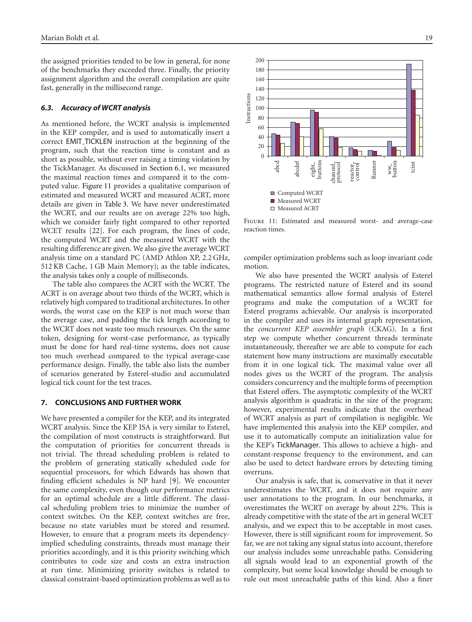the assigned priorities tended to be low in general, for none of the benchmarks they exceeded three. Finally, the priority assignment algorithm and the overall compilation are quite fast, generally in the millisecond range.

## *6.3. Accuracy of WCRT analysis*

As mentioned before, the WCRT analysis is implemented in the KEP compiler, and is used to automatically insert a correct EMIT TICKLEN instruction at the beginning of the program, such that the reaction time is constant and as short as possible, without ever raising a timing violation by the TickManager. As discussed in Section 6.1, we measured the maximal reaction times and compared it to the computed value. Figure 11 provides a qualitative comparison of estimated and measured WCRT and measured ACRT, more details are given in Table 3. We have never underestimated the WCRT, and our results are on average 22% too high, which we consider fairly tight compared to other reported WCET results [22]. For each program, the lines of code, the computed WCRT and the measured WCRT with the resulting difference are given. We also give the average WCRT analysis time on a standard PC (AMD Athlon XP, 2.2 GHz, 512 KB Cache, 1 GB Main Memory); as the table indicates, the analysis takes only a couple of milliseconds.

The table also compares the ACRT with the WCRT. The ACRT is on average about two thirds of the WCRT, which is relatively high compared to traditional architectures. In other words, the worst case on the KEP is not much worse than the average case, and padding the tick length according to the WCRT does not waste too much resources. On the same token, designing for worst-case performance, as typically must be done for hard real-time systems, does not cause too much overhead compared to the typical average-case performance design. Finally, the table also lists the number of scenarios generated by Esterel-studio and accumulated logical tick count for the test traces.

#### **7. CONCLUSIONS AND FURTHER WORK**

We have presented a compiler for the KEP, and its integrated WCRT analysis. Since the KEP ISA is very similar to Esterel, the compilation of most constructs is straightforward. But the computation of priorities for concurrent threads is not trivial. The thread scheduling problem is related to the problem of generating statically scheduled code for sequential processors, for which Edwards has shown that finding efficient schedules is NP hard [9]. We encounter the same complexity, even though our performance metrics for an optimal schedule are a little different. The classical scheduling problem tries to minimize the number of context switches. On the KEP, context switches are free, because no state variables must be stored and resumed. However, to ensure that a program meets its dependencyimplied scheduling constraints, threads must manage their priorities accordingly, and it is this priority switching which contributes to code size and costs an extra instruction at run time. Minimizing priority switches is related to classical constraint-based optimization problems as well as to



Figure 11: Estimated and measured worst- and average-case reaction times.

compiler optimization problems such as loop invariant code motion.

We also have presented the WCRT analysis of Esterel programs. The restricted nature of Esterel and its sound mathematical semantics allow formal analysis of Esterel programs and make the computation of a WCRT for Esterel programs achievable. Our analysis is incorporated in the compiler and uses its internal graph representation, the *concurrent KEP assembler graph* (CKAG). In a first step we compute whether concurrent threads terminate instantaneously, thereafter we are able to compute for each statement how many instructions are maximally executable from it in one logical tick. The maximal value over all nodes gives us the WCRT of the program. The analysis considers concurrency and the multiple forms of preemption that Esterel offers. The asymptotic complexity of the WCRT analysis algorithm is quadratic in the size of the program; however, experimental results indicate that the overhead of WCRT analysis as part of compilation is negligible. We have implemented this analysis into the KEP compiler, and use it to automatically compute an initialization value for the KEP's TickManager. This allows to achieve a high- and constant-response frequency to the environment, and can also be used to detect hardware errors by detecting timing overruns.

Our analysis is safe, that is, conservative in that it never underestimates the WCRT, and it does not require any user annotations to the program. In our benchmarks, it overestimates the WCRT on average by about 22%. This is already competitive with the state of the art in general WCET analysis, and we expect this to be acceptable in most cases. However, there is still significant room for improvement. So far, we are not taking any signal status into account, therefore our analysis includes some unreachable paths. Considering all signals would lead to an exponential growth of the complexity, but some local knowledge should be enough to rule out most unreachable paths of this kind. Also a finer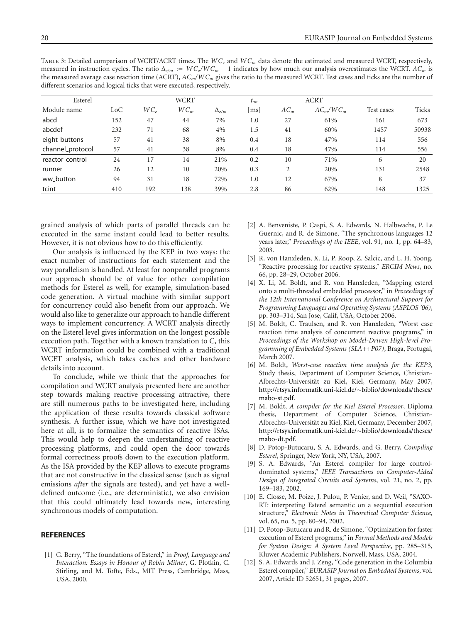Table 3: Detailed comparison of WCRT/ACRT times. The *WCe* and *WCm* data denote the estimated and measured WCRT, respectively, measured in instruction cycles. The ratio Δ*e/m* := *WCe/WCm* − 1 indicates by how much our analysis overestimates the WCRT. *ACm* is the measured average case reaction time (ACRT), *ACm/WCm* gives the ratio to the measured WCRT. Test cases and ticks are the number of different scenarios and logical ticks that were executed, respectively.

| Esterel          |     |        | WCRT   |                |     | <b>ACRT</b>   |             |            |       |
|------------------|-----|--------|--------|----------------|-----|---------------|-------------|------------|-------|
| Module name      | LoC | $WC_e$ | $WC_m$ | $\Delta_{e/m}$ | ms  | $AC_m$        | $AC_m/WC_m$ | Test cases | Ticks |
| abcd             | 152 | 47     | 44     | 7%             | 1.0 | 27            | 61%         | 161        | 673   |
| abcdef           | 232 | 71     | 68     | 4%             | 1.5 | 41            | 60%         | 1457       | 50938 |
| eight_buttons    | 57  | 41     | 38     | 8%             | 0.4 | 18            | 47%         | 114        | 556   |
| channel_protocol | 57  | 41     | 38     | 8%             | 0.4 | 18            | 47%         | 114        | 556   |
| reactor_control  | 24  | 17     | 14     | 21%            | 0.2 | 10            | 71%         | 6          | 20    |
| runner           | 26  | 12     | 10     | 20%            | 0.3 | $\mathcal{L}$ | 20%         | 131        | 2548  |
| ww_button        | 94  | 31     | 18     | 72%            | 1.0 | 12            | 67%         | 8          | 37    |
| tcint            | 410 | 192    | 138    | 39%            | 2.8 | 86            | 62%         | 148        | 1325  |

grained analysis of which parts of parallel threads can be executed in the same instant could lead to better results. However, it is not obvious how to do this efficiently.

Our analysis is influenced by the KEP in two ways: the exact number of instructions for each statement and the way parallelism is handled. At least for nonparallel programs our approach should be of value for other compilation methods for Esterel as well, for example, simulation-based code generation. A virtual machine with similar support for concurrency could also benefit from our approach. We would also like to generalize our approach to handle different ways to implement concurrency. A WCRT analysis directly on the Esterel level gives information on the longest possible execution path. Together with a known translation to C, this WCRT information could be combined with a traditional WCET analysis, which takes caches and other hardware details into account.

To conclude, while we think that the approaches for compilation and WCRT analysis presented here are another step towards making reactive processing attractive, there are still numerous paths to be investigated here, including the application of these results towards classical software synthesis. A further issue, which we have not investigated here at all, is to formalize the semantics of reactive ISAs. This would help to deepen the understanding of reactive processing platforms, and could open the door towards formal correctness proofs down to the execution platform. As the ISA provided by the KEP allows to execute programs that are not constructive in the classical sense (such as signal emissions *after* the signals are tested), and yet have a welldefined outcome (i.e., are deterministic), we also envision that this could ultimately lead towards new, interesting synchronous models of computation.

## **REFERENCES**

[1] G. Berry, "The foundations of Esterel," in *Proof, Language and Interaction: Essays in Honour of Robin Milner*, G. Plotkin, C. Stirling, and M. Tofte, Eds., MIT Press, Cambridge, Mass, USA, 2000.

- [2] A. Benveniste, P. Caspi, S. A. Edwards, N. Halbwachs, P. Le Guernic, and R. de Simone, "The synchronous languages 12 years later," *Proceedings of the IEEE*, vol. 91, no. 1, pp. 64–83, 2003.
- [3] R. von Hanxleden, X. Li, P. Roop, Z. Salcic, and L. H. Yoong, "Reactive processing for reactive systems," *ERCIM News*, no. 66, pp. 28–29, October 2006.
- [4] X. Li, M. Boldt, and R. von Hanxleden, "Mapping esterel onto a multi-threaded embedded processor," in *Proceedings of the 12th International Conference on Architectural Support for Programming Languages and Operating Systems (ASPLOS '06)*, pp. 303–314, San Jose, Calif, USA, October 2006.
- [5] M. Boldt, C. Traulsen, and R. von Hanxleden, "Worst case reaction time analysis of concurrent reactive programs," in *Proceedings of the Workshop on Model-Driven High-level Programming of Embedded Systems (SLA++P07)*, Braga, Portugal, March 2007.
- [6] M. Boldt, *Worst-case reaction time analysis for the KEP3*, Study thesis, Department of Computer Science, Christian-Albrechts-Universität zu Kiel, Kiel, Germany, May 2007, http://rtsys.informatik.uni-kiel.de/∼biblio/downloads/theses/ mabo-st.pdf.
- [7] M. Boldt, *A compiler for the Kiel Esterel Processor*, Diploma thesis, Department of Computer Science, Christian-Albrechts-Universität zu Kiel, Kiel, Germany, December 2007, http://rtsys.informatik.uni-kiel.de/∼biblio/downloads/theses/ mabo-dt.pdf.
- [8] D. Potop-Butucaru, S. A. Edwards, and G. Berry, *Compiling Esterel*, Springer, New York, NY, USA, 2007.
- [9] S. A. Edwards, "An Esterel compiler for large controldominated systems," *IEEE Transactions on Computer-Aided Design of Integrated Circuits and Systems*, vol. 21, no. 2, pp. 169–183, 2002.
- [10] E. Closse, M. Poize, J. Pulou, P. Venier, and D. Weil, "SAXO-RT: interpreting Esterel semantic on a sequential execution structure," *Electronic Notes in Theoretical Computer Science*, vol. 65, no. 5, pp. 80–94, 2002.
- [11] D. Potop-Butucaru and R. de Simone, "Optimization for faster execution of Esterel programs," in *Formal Methods and Models for System Design: A System Level Perspective*, pp. 285–315, Kluwer Academic Publishers, Norwell, Mass, USA, 2004.
- [12] S. A. Edwards and J. Zeng, "Code generation in the Columbia Esterel compiler," *EURASIP Journal on Embedded Systems*, vol. 2007, Article ID 52651, 31 pages, 2007.